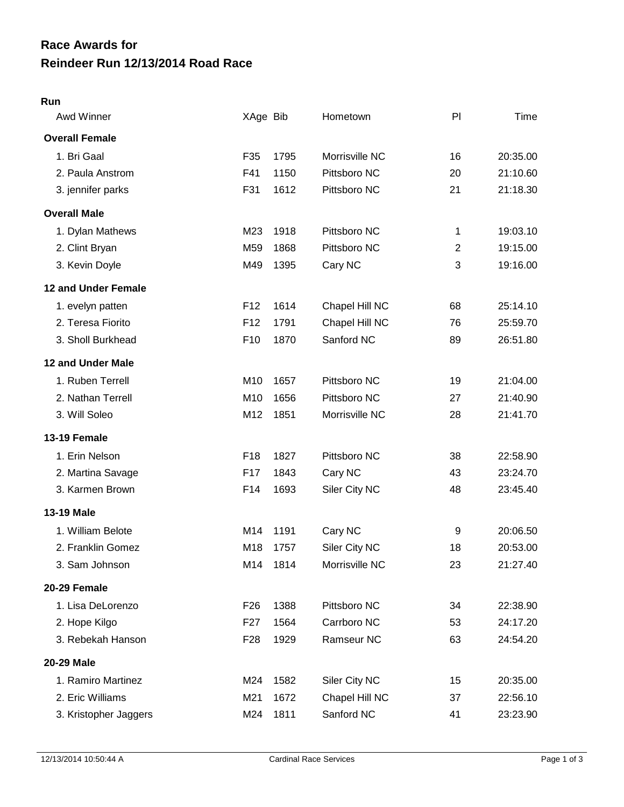## **Reindeer Run 12/13/2014 Road Race Race Awards for**

## **Run**

| Awd Winner                 | XAge Bib        |      | Hometown       | PI             | Time     |
|----------------------------|-----------------|------|----------------|----------------|----------|
| <b>Overall Female</b>      |                 |      |                |                |          |
| 1. Bri Gaal                | F35             | 1795 | Morrisville NC | 16             | 20:35.00 |
| 2. Paula Anstrom           | F41             | 1150 | Pittsboro NC   | 20             | 21:10.60 |
| 3. jennifer parks          | F31             | 1612 | Pittsboro NC   | 21             | 21:18.30 |
| <b>Overall Male</b>        |                 |      |                |                |          |
| 1. Dylan Mathews           | M23             | 1918 | Pittsboro NC   | 1              | 19:03.10 |
| 2. Clint Bryan             | M59             | 1868 | Pittsboro NC   | $\overline{2}$ | 19:15.00 |
| 3. Kevin Doyle             | M49             | 1395 | Cary NC        | 3              | 19:16.00 |
| <b>12 and Under Female</b> |                 |      |                |                |          |
| 1. evelyn patten           | F <sub>12</sub> | 1614 | Chapel Hill NC | 68             | 25:14.10 |
| 2. Teresa Fiorito          | F <sub>12</sub> | 1791 | Chapel Hill NC | 76             | 25:59.70 |
| 3. Sholl Burkhead          | F <sub>10</sub> | 1870 | Sanford NC     | 89             | 26:51.80 |
| 12 and Under Male          |                 |      |                |                |          |
| 1. Ruben Terrell           | M10             | 1657 | Pittsboro NC   | 19             | 21:04.00 |
| 2. Nathan Terrell          | M10             | 1656 | Pittsboro NC   | 27             | 21:40.90 |
| 3. Will Soleo              | M12             | 1851 | Morrisville NC | 28             | 21:41.70 |
| 13-19 Female               |                 |      |                |                |          |
| 1. Erin Nelson             | F18             | 1827 | Pittsboro NC   | 38             | 22:58.90 |
| 2. Martina Savage          | F17             | 1843 | Cary NC        | 43             | 23:24.70 |
| 3. Karmen Brown            | F14             | 1693 | Siler City NC  | 48             | 23:45.40 |
| <b>13-19 Male</b>          |                 |      |                |                |          |
| 1. William Belote          | M14             | 1191 | Cary NC        | 9              | 20:06.50 |
| 2. Franklin Gomez          | M18             | 1757 | Siler City NC  | 18             | 20:53.00 |
| 3. Sam Johnson             | M14             | 1814 | Morrisville NC | 23             | 21:27.40 |
| 20-29 Female               |                 |      |                |                |          |
| 1. Lisa DeLorenzo          | F <sub>26</sub> | 1388 | Pittsboro NC   | 34             | 22:38.90 |
| 2. Hope Kilgo              | F <sub>27</sub> | 1564 | Carrboro NC    | 53             | 24:17.20 |
| 3. Rebekah Hanson          | F <sub>28</sub> | 1929 | Ramseur NC     | 63             | 24:54.20 |
| 20-29 Male                 |                 |      |                |                |          |
| 1. Ramiro Martinez         | M24             | 1582 | Siler City NC  | 15             | 20:35.00 |
| 2. Eric Williams           | M21             | 1672 | Chapel Hill NC | 37             | 22:56.10 |
| 3. Kristopher Jaggers      | M24             | 1811 | Sanford NC     | 41             | 23:23.90 |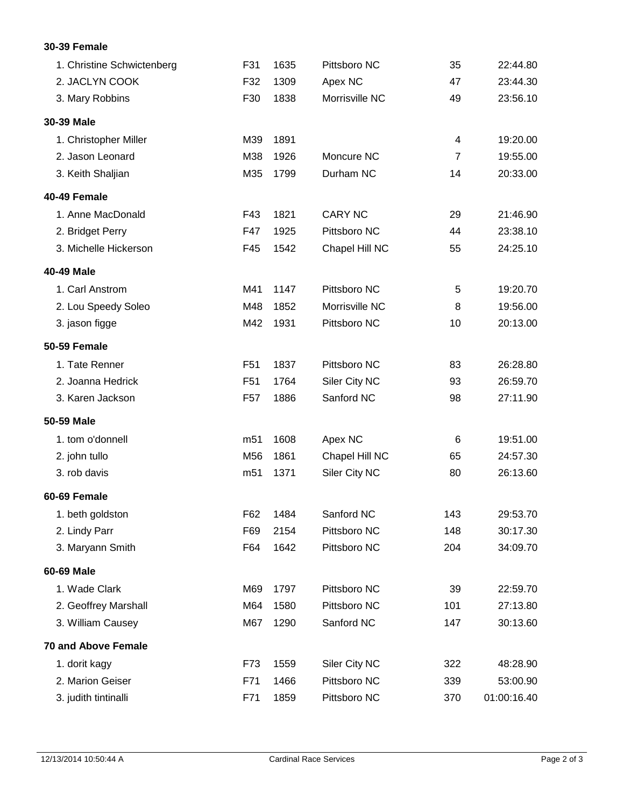## **30-39 Female**

| 1. Christine Schwictenberg | F31             | 1635 | Pittsboro NC   | 35             | 22:44.80    |
|----------------------------|-----------------|------|----------------|----------------|-------------|
| 2. JACLYN COOK             | F32             | 1309 | Apex NC        | 47             | 23:44.30    |
| 3. Mary Robbins            | F30             | 1838 | Morrisville NC | 49             | 23:56.10    |
| 30-39 Male                 |                 |      |                |                |             |
| 1. Christopher Miller      | M39             | 1891 |                | 4              | 19:20.00    |
| 2. Jason Leonard           | M38             | 1926 | Moncure NC     | $\overline{7}$ | 19:55.00    |
| 3. Keith Shaljian          | M35             | 1799 | Durham NC      | 14             | 20:33.00    |
| 40-49 Female               |                 |      |                |                |             |
| 1. Anne MacDonald          | F43             | 1821 | <b>CARY NC</b> | 29             | 21:46.90    |
| 2. Bridget Perry           | F47             | 1925 | Pittsboro NC   | 44             | 23:38.10    |
| 3. Michelle Hickerson      | F45             | 1542 | Chapel Hill NC | 55             | 24:25.10    |
| 40-49 Male                 |                 |      |                |                |             |
| 1. Carl Anstrom            | M41             | 1147 | Pittsboro NC   | 5              | 19:20.70    |
| 2. Lou Speedy Soleo        | M48             | 1852 | Morrisville NC | 8              | 19:56.00    |
| 3. jason figge             | M42             | 1931 | Pittsboro NC   | 10             | 20:13.00    |
| 50-59 Female               |                 |      |                |                |             |
| 1. Tate Renner             | F <sub>51</sub> | 1837 | Pittsboro NC   | 83             | 26:28.80    |
| 2. Joanna Hedrick          | F <sub>51</sub> | 1764 | Siler City NC  | 93             | 26:59.70    |
| 3. Karen Jackson           | F <sub>57</sub> | 1886 | Sanford NC     | 98             | 27:11.90    |
| 50-59 Male                 |                 |      |                |                |             |
| 1. tom o'donnell           | m <sub>51</sub> | 1608 | Apex NC        | 6              | 19:51.00    |
| 2. john tullo              | M56             | 1861 | Chapel Hill NC | 65             | 24:57.30    |
| 3. rob davis               | m <sub>51</sub> | 1371 | Siler City NC  | 80             | 26:13.60    |
| 60-69 Female               |                 |      |                |                |             |
| 1. beth goldston           | F62             | 1484 | Sanford NC     | 143            | 29:53.70    |
| 2. Lindy Parr              | F69             | 2154 | Pittsboro NC   | 148            | 30:17.30    |
| 3. Maryann Smith           | F64             | 1642 | Pittsboro NC   | 204            | 34:09.70    |
| 60-69 Male                 |                 |      |                |                |             |
| 1. Wade Clark              | M69             | 1797 | Pittsboro NC   | 39             | 22:59.70    |
| 2. Geoffrey Marshall       | M64             | 1580 | Pittsboro NC   | 101            | 27:13.80    |
| 3. William Causey          | M67             | 1290 | Sanford NC     | 147            | 30:13.60    |
| <b>70 and Above Female</b> |                 |      |                |                |             |
| 1. dorit kagy              | F73             | 1559 | Siler City NC  | 322            | 48:28.90    |
| 2. Marion Geiser           | F71             | 1466 | Pittsboro NC   | 339            | 53:00.90    |
| 3. judith tintinalli       | F71             | 1859 | Pittsboro NC   | 370            | 01:00:16.40 |